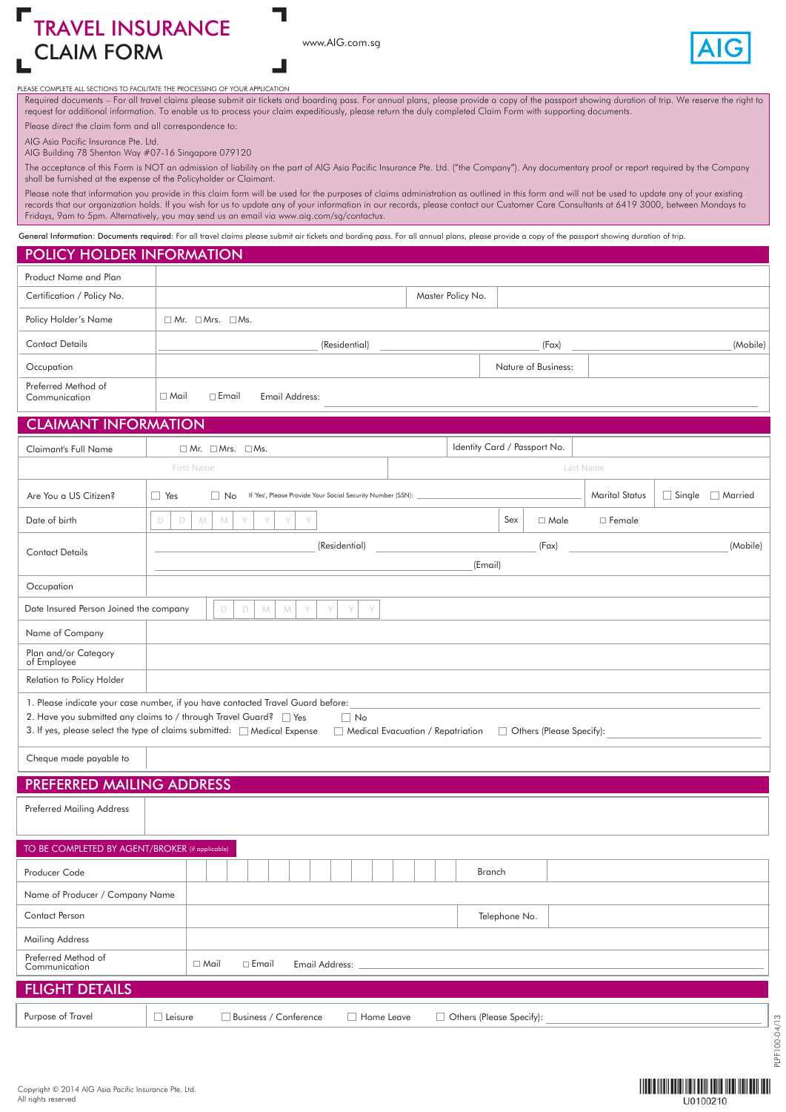CLAIM FORM www.AIG.com.sg TRAVEL INSURANCE



PLEASE COMPLETE ALL SECTIONS TO FACILITATE THE PROCESSING OF YOUR APPLICATION

Required documents – For all travel claims please submit air tickets and boarding pass. For annual plans, please provide a copy of the passport showing duration of trip. We reserve the right to request for additional information. To enable us to process your claim expeditiously, please return the duly completed Claim Form with supporting documents. Please direct the claim form and all correspondence to:

AIG Asia Pacific Insurance Pte. Ltd.

AIG Building 78 Shenton Way #07-16 Singapore 079120

The acceptance of this Form is NOT an admission of liability on the part of AIG Asia Pacific Insurance Pte. Ltd. ("the Company"). Any documentary proof or report required by the Company shall be furnished at the expense of the Policyholder or Claimant.

Please note that information you provide in this claim form will be used for the purposes of claims administration as outlined in this form and will not be used to update any of your existing records that our organization holds. If you wish for us to update any of your information in our records, please contact our Customer Care Consultants at 6419 3000, between Mondays to Fridays, 9am to 5pm. Alternatively, you may send us an email via www.aig.com/sg/contactus.

General Information: Documents required: For all travel claims please submit air tickets and bording pass. For all annual plans, please provide a copy of the passport showing duration of trip.

### POLICY HOLDER INFORMATION

| Product Name and Plan                |                                               |                     |          |
|--------------------------------------|-----------------------------------------------|---------------------|----------|
| Certification / Policy No.           |                                               | Master Policy No.   |          |
| Policy Holder's Name                 | $\Box$ Mr. $\Box$ Mrs. $\Box$ Ms.             |                     |          |
| <b>Contact Details</b>               | (Residential)                                 | (Fax)               | (Mobile) |
| Occupation                           |                                               | Nature of Business: |          |
| Preferred Method of<br>Communication | $\Box$ Email<br>$\Box$ Mail<br>Email Address: |                     |          |
| CLAIMANT INTO DIA TIONI              |                                               |                     |          |

### CLAIMANT INFORMATION

| <b>Claimant's Full Name</b>            | $\Box$ Mr. $\Box$ Mrs. $\Box$ Ms.                                                      | Identity Card / Passport No.      |                          |                            |  |  |  |
|----------------------------------------|----------------------------------------------------------------------------------------|-----------------------------------|--------------------------|----------------------------|--|--|--|
|                                        | First Name                                                                             |                                   | Last Name                |                            |  |  |  |
| Are You a US Citizen?                  | $\Box$ Yes<br>$\Box$ No<br>If 'Yes', Please Provide Your Social Security Number (SSN): |                                   | <b>Marital Status</b>    | $\Box$ Single<br>□ Married |  |  |  |
| Date of birth                          | M<br>$\Box$<br>D<br>M<br>Y<br>Y<br>Y<br>Y                                              | Sex                               | □ Female<br>$\Box$ Male  |                            |  |  |  |
| <b>Contact Details</b>                 | (Residential)                                                                          |                                   | (Fax)                    | (Mobile)                   |  |  |  |
|                                        |                                                                                        | (Email)                           |                          |                            |  |  |  |
| Occupation                             |                                                                                        |                                   |                          |                            |  |  |  |
| Date Insured Person Joined the company | D<br>D<br>M<br>M<br>Y<br>Y<br>Y<br>Y                                                   |                                   |                          |                            |  |  |  |
| Name of Company                        |                                                                                        |                                   |                          |                            |  |  |  |
| Plan and/or Category<br>of Employee    |                                                                                        |                                   |                          |                            |  |  |  |
| Relation to Policy Holder              |                                                                                        |                                   |                          |                            |  |  |  |
|                                        | 1. Please indicate your case number, if you have contacted Travel Guard before:        |                                   |                          |                            |  |  |  |
|                                        | 2. Have you submitted any claims to / through Travel Guard? Yes<br>$\Box$ No           |                                   |                          |                            |  |  |  |
|                                        | 3. If yes, please select the type of claims submitted: Medical Expense                 | Medical Evacuation / Repatriation | Others (Please Specify): |                            |  |  |  |
| Cheque made payable to                 |                                                                                        |                                   |                          |                            |  |  |  |
| PREFERRED MAILING ADDRESS              |                                                                                        |                                   |                          |                            |  |  |  |
| <b>Preferred Mailing Address</b>       |                                                                                        |                                   |                          |                            |  |  |  |
|                                        |                                                                                        |                                   |                          |                            |  |  |  |
|                                        | TO BE COMPLETED BY AGENT/BROKER (if applicable)                                        |                                   |                          |                            |  |  |  |
| Producer Code                          |                                                                                        | Branch                            |                          |                            |  |  |  |
| Name of Producer / Company Name        |                                                                                        |                                   |                          |                            |  |  |  |

Telephone No.

Leisure Business / Conference Home Leave Others (Please Specify):

Email Address: Preferred Method of Communication Mail Email

FLIGHT DETAILS

Purpose of Travel

Contact Person Mailing Address

PLPF100-04/13

PLPF100-04/13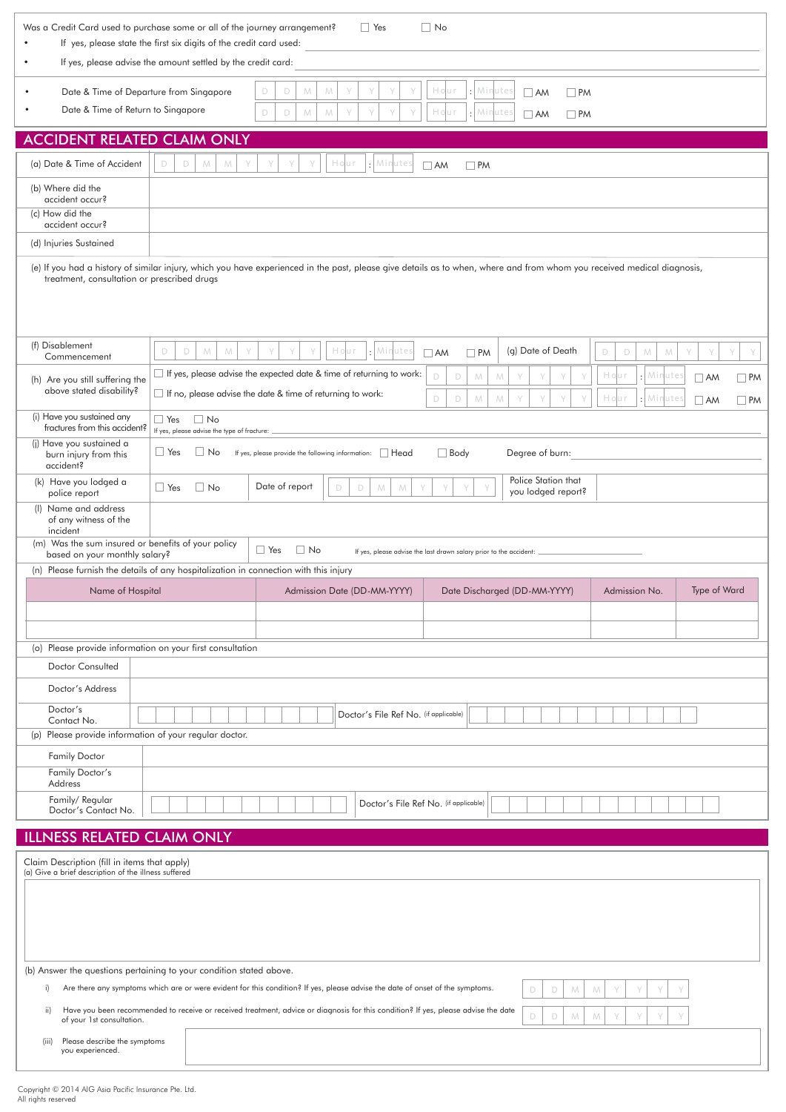| If yes, please advise the amount settled by the credit card:<br>Hour<br>$\cdot$ Minutes<br>$\Box$<br>Date & Time of Departure from Singapore<br>M<br>M<br>D<br>$\Box$ PM<br>$\Box$ AM<br>Date & Time of Return to Singapore<br>Hour<br>$\cdot$ Minutes<br>$\mathbb D$<br>$\mathsf D$<br>M<br>M<br>Y<br>Y<br>$\Box$ AM<br>$\Box$ PM<br><b>ACCIDENT RELATED CLAIM ONLY</b><br>: Minutes<br>(a) Date & Time of Accident<br>Hour<br>D<br>M<br>M<br>D<br>$\Box$ AM<br>$\Box$ PM<br>(b) Where did the<br>accident occur?<br>(c) How did the<br>accident occur?<br>(d) Injuries Sustained<br>(e) If you had a history of similar injury, which you have experienced in the past, please give details as to when, where and from whom you received medical diagnosis,<br>treatment, consultation or prescribed drugs<br>(f) Disablement<br>Hour<br>: Minutes<br>(g) Date of Death<br>$\Box$<br>${\mathcal{N}}$<br>Y<br>D<br>M<br>Y<br>Y<br>D<br>$\Box$<br>M<br>M<br>Y<br>Y<br>Y<br>$\Box$ PM<br>$\Box$ AM<br>Commencement<br>$\Box$ If yes, please advise the expected date & time of returning to work:<br>Hour<br>Minute:<br>$\mathsf D$<br>$\mathcal{M}% _{0}$<br>D<br>M<br>$\Box$ PM<br>$\Box$ AM<br>(h) Are you still suffering the<br>above stated disability?<br>$\Box$ If no, please advise the date & time of returning to work:<br>Hour<br>$\mathsf D$<br>$\mathbb D$<br>: Minutes<br>${\cal M}$<br>M<br>γ<br>$\Box$ AM<br>$\Box$ PM<br>(i) Have you sustained any<br>$\Box$ Yes<br>$\Box$ No<br>fractures from this accident?<br>If yes, please advise the type of fracture:<br>(i) Have you sustained a<br>$\Box$ No<br>$\Box$ Yes<br>If yes, please provide the following information: Head<br>$\Box$ Body<br>Degree of burn:<br>burn injury from this<br>accident?<br>Police Station that<br>(k) Have you lodged a<br>$\Box$ No<br>Date of report<br>$\Box$ Yes<br>D<br>D<br>M<br>M<br>you lodged report?<br>police report<br>(I) Name and address<br>of any witness of the<br>incident<br>(m) Was the sum insured or benefits of your policy<br>$\Box$ Yes<br>$\Box$ No<br>If yes, please advise the last drawn salary prior to the accident:<br>based on your monthly salary?<br>(n) Please furnish the details of any hospitalization in connection with this injury<br>Name of Hospital<br>Type of Ward<br>Admission Date (DD-MM-YYYY)<br>Date Discharged (DD-MM-YYYY)<br>Admission No.<br>(o) Please provide information on your first consultation<br><b>Doctor Consulted</b><br>Doctor's Address<br>Doctor's<br>Doctor's File Ref No. (if applicable)<br>Contact No.<br>Please provide information of your regular doctor.<br>(p)<br><b>Family Doctor</b><br>Family Doctor's<br>Address<br>Family/Regular<br>Doctor's File Ref No. (if applicable)<br>Doctor's Contact No.<br><b>ILLNESS RELATED CLAIM ONLY</b><br>Claim Description (fill in items that apply)<br>(a) Give a brief description of the illness suffered<br>(b) Answer the questions pertaining to your condition stated above.<br>Are there any symptoms which are or were evident for this condition? If yes, please advise the date of onset of the symptoms.<br>i)<br>D<br>D<br>M<br>M<br>Have you been recommended to receive or received treatment, advice or diagnosis for this condition? If yes, please advise the date<br>ii)<br>$\mathsf D$<br>D<br>M<br>M | $\Box$ No<br>Was a Credit Card used to purchase some or all of the journey arrangement?<br>$\Box$ Yes<br>If yes, please state the first six digits of the credit card used: |  |  |  |  |  |  |  |
|---------------------------------------------------------------------------------------------------------------------------------------------------------------------------------------------------------------------------------------------------------------------------------------------------------------------------------------------------------------------------------------------------------------------------------------------------------------------------------------------------------------------------------------------------------------------------------------------------------------------------------------------------------------------------------------------------------------------------------------------------------------------------------------------------------------------------------------------------------------------------------------------------------------------------------------------------------------------------------------------------------------------------------------------------------------------------------------------------------------------------------------------------------------------------------------------------------------------------------------------------------------------------------------------------------------------------------------------------------------------------------------------------------------------------------------------------------------------------------------------------------------------------------------------------------------------------------------------------------------------------------------------------------------------------------------------------------------------------------------------------------------------------------------------------------------------------------------------------------------------------------------------------------------------------------------------------------------------------------------------------------------------------------------------------------------------------------------------------------------------------------------------------------------------------------------------------------------------------------------------------------------------------------------------------------------------------------------------------------------------------------------------------------------------------------------------------------------------------------------------------------------------------------------------------------------------------------------------------------------------------------------------------------------------------------------------------------------------------------------------------------------------------------------------------------------------------------------------------------------------------------------------------------------------------------------------------------------------------------------------------------------------------------------------------------------------------------------------------------------------------------------------------------------------------------------------------------------------------------------------------------------------------------------------------------------------------------------------------|-----------------------------------------------------------------------------------------------------------------------------------------------------------------------------|--|--|--|--|--|--|--|
|                                                                                                                                                                                                                                                                                                                                                                                                                                                                                                                                                                                                                                                                                                                                                                                                                                                                                                                                                                                                                                                                                                                                                                                                                                                                                                                                                                                                                                                                                                                                                                                                                                                                                                                                                                                                                                                                                                                                                                                                                                                                                                                                                                                                                                                                                                                                                                                                                                                                                                                                                                                                                                                                                                                                                                                                                                                                                                                                                                                                                                                                                                                                                                                                                                                                                                                                                   |                                                                                                                                                                             |  |  |  |  |  |  |  |
|                                                                                                                                                                                                                                                                                                                                                                                                                                                                                                                                                                                                                                                                                                                                                                                                                                                                                                                                                                                                                                                                                                                                                                                                                                                                                                                                                                                                                                                                                                                                                                                                                                                                                                                                                                                                                                                                                                                                                                                                                                                                                                                                                                                                                                                                                                                                                                                                                                                                                                                                                                                                                                                                                                                                                                                                                                                                                                                                                                                                                                                                                                                                                                                                                                                                                                                                                   |                                                                                                                                                                             |  |  |  |  |  |  |  |
|                                                                                                                                                                                                                                                                                                                                                                                                                                                                                                                                                                                                                                                                                                                                                                                                                                                                                                                                                                                                                                                                                                                                                                                                                                                                                                                                                                                                                                                                                                                                                                                                                                                                                                                                                                                                                                                                                                                                                                                                                                                                                                                                                                                                                                                                                                                                                                                                                                                                                                                                                                                                                                                                                                                                                                                                                                                                                                                                                                                                                                                                                                                                                                                                                                                                                                                                                   |                                                                                                                                                                             |  |  |  |  |  |  |  |
|                                                                                                                                                                                                                                                                                                                                                                                                                                                                                                                                                                                                                                                                                                                                                                                                                                                                                                                                                                                                                                                                                                                                                                                                                                                                                                                                                                                                                                                                                                                                                                                                                                                                                                                                                                                                                                                                                                                                                                                                                                                                                                                                                                                                                                                                                                                                                                                                                                                                                                                                                                                                                                                                                                                                                                                                                                                                                                                                                                                                                                                                                                                                                                                                                                                                                                                                                   |                                                                                                                                                                             |  |  |  |  |  |  |  |
|                                                                                                                                                                                                                                                                                                                                                                                                                                                                                                                                                                                                                                                                                                                                                                                                                                                                                                                                                                                                                                                                                                                                                                                                                                                                                                                                                                                                                                                                                                                                                                                                                                                                                                                                                                                                                                                                                                                                                                                                                                                                                                                                                                                                                                                                                                                                                                                                                                                                                                                                                                                                                                                                                                                                                                                                                                                                                                                                                                                                                                                                                                                                                                                                                                                                                                                                                   |                                                                                                                                                                             |  |  |  |  |  |  |  |
|                                                                                                                                                                                                                                                                                                                                                                                                                                                                                                                                                                                                                                                                                                                                                                                                                                                                                                                                                                                                                                                                                                                                                                                                                                                                                                                                                                                                                                                                                                                                                                                                                                                                                                                                                                                                                                                                                                                                                                                                                                                                                                                                                                                                                                                                                                                                                                                                                                                                                                                                                                                                                                                                                                                                                                                                                                                                                                                                                                                                                                                                                                                                                                                                                                                                                                                                                   |                                                                                                                                                                             |  |  |  |  |  |  |  |
|                                                                                                                                                                                                                                                                                                                                                                                                                                                                                                                                                                                                                                                                                                                                                                                                                                                                                                                                                                                                                                                                                                                                                                                                                                                                                                                                                                                                                                                                                                                                                                                                                                                                                                                                                                                                                                                                                                                                                                                                                                                                                                                                                                                                                                                                                                                                                                                                                                                                                                                                                                                                                                                                                                                                                                                                                                                                                                                                                                                                                                                                                                                                                                                                                                                                                                                                                   |                                                                                                                                                                             |  |  |  |  |  |  |  |
|                                                                                                                                                                                                                                                                                                                                                                                                                                                                                                                                                                                                                                                                                                                                                                                                                                                                                                                                                                                                                                                                                                                                                                                                                                                                                                                                                                                                                                                                                                                                                                                                                                                                                                                                                                                                                                                                                                                                                                                                                                                                                                                                                                                                                                                                                                                                                                                                                                                                                                                                                                                                                                                                                                                                                                                                                                                                                                                                                                                                                                                                                                                                                                                                                                                                                                                                                   |                                                                                                                                                                             |  |  |  |  |  |  |  |
|                                                                                                                                                                                                                                                                                                                                                                                                                                                                                                                                                                                                                                                                                                                                                                                                                                                                                                                                                                                                                                                                                                                                                                                                                                                                                                                                                                                                                                                                                                                                                                                                                                                                                                                                                                                                                                                                                                                                                                                                                                                                                                                                                                                                                                                                                                                                                                                                                                                                                                                                                                                                                                                                                                                                                                                                                                                                                                                                                                                                                                                                                                                                                                                                                                                                                                                                                   |                                                                                                                                                                             |  |  |  |  |  |  |  |
|                                                                                                                                                                                                                                                                                                                                                                                                                                                                                                                                                                                                                                                                                                                                                                                                                                                                                                                                                                                                                                                                                                                                                                                                                                                                                                                                                                                                                                                                                                                                                                                                                                                                                                                                                                                                                                                                                                                                                                                                                                                                                                                                                                                                                                                                                                                                                                                                                                                                                                                                                                                                                                                                                                                                                                                                                                                                                                                                                                                                                                                                                                                                                                                                                                                                                                                                                   |                                                                                                                                                                             |  |  |  |  |  |  |  |
|                                                                                                                                                                                                                                                                                                                                                                                                                                                                                                                                                                                                                                                                                                                                                                                                                                                                                                                                                                                                                                                                                                                                                                                                                                                                                                                                                                                                                                                                                                                                                                                                                                                                                                                                                                                                                                                                                                                                                                                                                                                                                                                                                                                                                                                                                                                                                                                                                                                                                                                                                                                                                                                                                                                                                                                                                                                                                                                                                                                                                                                                                                                                                                                                                                                                                                                                                   |                                                                                                                                                                             |  |  |  |  |  |  |  |
|                                                                                                                                                                                                                                                                                                                                                                                                                                                                                                                                                                                                                                                                                                                                                                                                                                                                                                                                                                                                                                                                                                                                                                                                                                                                                                                                                                                                                                                                                                                                                                                                                                                                                                                                                                                                                                                                                                                                                                                                                                                                                                                                                                                                                                                                                                                                                                                                                                                                                                                                                                                                                                                                                                                                                                                                                                                                                                                                                                                                                                                                                                                                                                                                                                                                                                                                                   |                                                                                                                                                                             |  |  |  |  |  |  |  |
|                                                                                                                                                                                                                                                                                                                                                                                                                                                                                                                                                                                                                                                                                                                                                                                                                                                                                                                                                                                                                                                                                                                                                                                                                                                                                                                                                                                                                                                                                                                                                                                                                                                                                                                                                                                                                                                                                                                                                                                                                                                                                                                                                                                                                                                                                                                                                                                                                                                                                                                                                                                                                                                                                                                                                                                                                                                                                                                                                                                                                                                                                                                                                                                                                                                                                                                                                   |                                                                                                                                                                             |  |  |  |  |  |  |  |
|                                                                                                                                                                                                                                                                                                                                                                                                                                                                                                                                                                                                                                                                                                                                                                                                                                                                                                                                                                                                                                                                                                                                                                                                                                                                                                                                                                                                                                                                                                                                                                                                                                                                                                                                                                                                                                                                                                                                                                                                                                                                                                                                                                                                                                                                                                                                                                                                                                                                                                                                                                                                                                                                                                                                                                                                                                                                                                                                                                                                                                                                                                                                                                                                                                                                                                                                                   |                                                                                                                                                                             |  |  |  |  |  |  |  |
|                                                                                                                                                                                                                                                                                                                                                                                                                                                                                                                                                                                                                                                                                                                                                                                                                                                                                                                                                                                                                                                                                                                                                                                                                                                                                                                                                                                                                                                                                                                                                                                                                                                                                                                                                                                                                                                                                                                                                                                                                                                                                                                                                                                                                                                                                                                                                                                                                                                                                                                                                                                                                                                                                                                                                                                                                                                                                                                                                                                                                                                                                                                                                                                                                                                                                                                                                   |                                                                                                                                                                             |  |  |  |  |  |  |  |
|                                                                                                                                                                                                                                                                                                                                                                                                                                                                                                                                                                                                                                                                                                                                                                                                                                                                                                                                                                                                                                                                                                                                                                                                                                                                                                                                                                                                                                                                                                                                                                                                                                                                                                                                                                                                                                                                                                                                                                                                                                                                                                                                                                                                                                                                                                                                                                                                                                                                                                                                                                                                                                                                                                                                                                                                                                                                                                                                                                                                                                                                                                                                                                                                                                                                                                                                                   |                                                                                                                                                                             |  |  |  |  |  |  |  |
|                                                                                                                                                                                                                                                                                                                                                                                                                                                                                                                                                                                                                                                                                                                                                                                                                                                                                                                                                                                                                                                                                                                                                                                                                                                                                                                                                                                                                                                                                                                                                                                                                                                                                                                                                                                                                                                                                                                                                                                                                                                                                                                                                                                                                                                                                                                                                                                                                                                                                                                                                                                                                                                                                                                                                                                                                                                                                                                                                                                                                                                                                                                                                                                                                                                                                                                                                   |                                                                                                                                                                             |  |  |  |  |  |  |  |
|                                                                                                                                                                                                                                                                                                                                                                                                                                                                                                                                                                                                                                                                                                                                                                                                                                                                                                                                                                                                                                                                                                                                                                                                                                                                                                                                                                                                                                                                                                                                                                                                                                                                                                                                                                                                                                                                                                                                                                                                                                                                                                                                                                                                                                                                                                                                                                                                                                                                                                                                                                                                                                                                                                                                                                                                                                                                                                                                                                                                                                                                                                                                                                                                                                                                                                                                                   |                                                                                                                                                                             |  |  |  |  |  |  |  |
|                                                                                                                                                                                                                                                                                                                                                                                                                                                                                                                                                                                                                                                                                                                                                                                                                                                                                                                                                                                                                                                                                                                                                                                                                                                                                                                                                                                                                                                                                                                                                                                                                                                                                                                                                                                                                                                                                                                                                                                                                                                                                                                                                                                                                                                                                                                                                                                                                                                                                                                                                                                                                                                                                                                                                                                                                                                                                                                                                                                                                                                                                                                                                                                                                                                                                                                                                   |                                                                                                                                                                             |  |  |  |  |  |  |  |
|                                                                                                                                                                                                                                                                                                                                                                                                                                                                                                                                                                                                                                                                                                                                                                                                                                                                                                                                                                                                                                                                                                                                                                                                                                                                                                                                                                                                                                                                                                                                                                                                                                                                                                                                                                                                                                                                                                                                                                                                                                                                                                                                                                                                                                                                                                                                                                                                                                                                                                                                                                                                                                                                                                                                                                                                                                                                                                                                                                                                                                                                                                                                                                                                                                                                                                                                                   |                                                                                                                                                                             |  |  |  |  |  |  |  |
|                                                                                                                                                                                                                                                                                                                                                                                                                                                                                                                                                                                                                                                                                                                                                                                                                                                                                                                                                                                                                                                                                                                                                                                                                                                                                                                                                                                                                                                                                                                                                                                                                                                                                                                                                                                                                                                                                                                                                                                                                                                                                                                                                                                                                                                                                                                                                                                                                                                                                                                                                                                                                                                                                                                                                                                                                                                                                                                                                                                                                                                                                                                                                                                                                                                                                                                                                   |                                                                                                                                                                             |  |  |  |  |  |  |  |
|                                                                                                                                                                                                                                                                                                                                                                                                                                                                                                                                                                                                                                                                                                                                                                                                                                                                                                                                                                                                                                                                                                                                                                                                                                                                                                                                                                                                                                                                                                                                                                                                                                                                                                                                                                                                                                                                                                                                                                                                                                                                                                                                                                                                                                                                                                                                                                                                                                                                                                                                                                                                                                                                                                                                                                                                                                                                                                                                                                                                                                                                                                                                                                                                                                                                                                                                                   |                                                                                                                                                                             |  |  |  |  |  |  |  |
|                                                                                                                                                                                                                                                                                                                                                                                                                                                                                                                                                                                                                                                                                                                                                                                                                                                                                                                                                                                                                                                                                                                                                                                                                                                                                                                                                                                                                                                                                                                                                                                                                                                                                                                                                                                                                                                                                                                                                                                                                                                                                                                                                                                                                                                                                                                                                                                                                                                                                                                                                                                                                                                                                                                                                                                                                                                                                                                                                                                                                                                                                                                                                                                                                                                                                                                                                   |                                                                                                                                                                             |  |  |  |  |  |  |  |
|                                                                                                                                                                                                                                                                                                                                                                                                                                                                                                                                                                                                                                                                                                                                                                                                                                                                                                                                                                                                                                                                                                                                                                                                                                                                                                                                                                                                                                                                                                                                                                                                                                                                                                                                                                                                                                                                                                                                                                                                                                                                                                                                                                                                                                                                                                                                                                                                                                                                                                                                                                                                                                                                                                                                                                                                                                                                                                                                                                                                                                                                                                                                                                                                                                                                                                                                                   |                                                                                                                                                                             |  |  |  |  |  |  |  |
|                                                                                                                                                                                                                                                                                                                                                                                                                                                                                                                                                                                                                                                                                                                                                                                                                                                                                                                                                                                                                                                                                                                                                                                                                                                                                                                                                                                                                                                                                                                                                                                                                                                                                                                                                                                                                                                                                                                                                                                                                                                                                                                                                                                                                                                                                                                                                                                                                                                                                                                                                                                                                                                                                                                                                                                                                                                                                                                                                                                                                                                                                                                                                                                                                                                                                                                                                   |                                                                                                                                                                             |  |  |  |  |  |  |  |
|                                                                                                                                                                                                                                                                                                                                                                                                                                                                                                                                                                                                                                                                                                                                                                                                                                                                                                                                                                                                                                                                                                                                                                                                                                                                                                                                                                                                                                                                                                                                                                                                                                                                                                                                                                                                                                                                                                                                                                                                                                                                                                                                                                                                                                                                                                                                                                                                                                                                                                                                                                                                                                                                                                                                                                                                                                                                                                                                                                                                                                                                                                                                                                                                                                                                                                                                                   |                                                                                                                                                                             |  |  |  |  |  |  |  |
|                                                                                                                                                                                                                                                                                                                                                                                                                                                                                                                                                                                                                                                                                                                                                                                                                                                                                                                                                                                                                                                                                                                                                                                                                                                                                                                                                                                                                                                                                                                                                                                                                                                                                                                                                                                                                                                                                                                                                                                                                                                                                                                                                                                                                                                                                                                                                                                                                                                                                                                                                                                                                                                                                                                                                                                                                                                                                                                                                                                                                                                                                                                                                                                                                                                                                                                                                   |                                                                                                                                                                             |  |  |  |  |  |  |  |
|                                                                                                                                                                                                                                                                                                                                                                                                                                                                                                                                                                                                                                                                                                                                                                                                                                                                                                                                                                                                                                                                                                                                                                                                                                                                                                                                                                                                                                                                                                                                                                                                                                                                                                                                                                                                                                                                                                                                                                                                                                                                                                                                                                                                                                                                                                                                                                                                                                                                                                                                                                                                                                                                                                                                                                                                                                                                                                                                                                                                                                                                                                                                                                                                                                                                                                                                                   |                                                                                                                                                                             |  |  |  |  |  |  |  |
|                                                                                                                                                                                                                                                                                                                                                                                                                                                                                                                                                                                                                                                                                                                                                                                                                                                                                                                                                                                                                                                                                                                                                                                                                                                                                                                                                                                                                                                                                                                                                                                                                                                                                                                                                                                                                                                                                                                                                                                                                                                                                                                                                                                                                                                                                                                                                                                                                                                                                                                                                                                                                                                                                                                                                                                                                                                                                                                                                                                                                                                                                                                                                                                                                                                                                                                                                   |                                                                                                                                                                             |  |  |  |  |  |  |  |
|                                                                                                                                                                                                                                                                                                                                                                                                                                                                                                                                                                                                                                                                                                                                                                                                                                                                                                                                                                                                                                                                                                                                                                                                                                                                                                                                                                                                                                                                                                                                                                                                                                                                                                                                                                                                                                                                                                                                                                                                                                                                                                                                                                                                                                                                                                                                                                                                                                                                                                                                                                                                                                                                                                                                                                                                                                                                                                                                                                                                                                                                                                                                                                                                                                                                                                                                                   | of your 1st consultation.                                                                                                                                                   |  |  |  |  |  |  |  |
| Please describe the symptoms<br>(iii)<br>you experienced.                                                                                                                                                                                                                                                                                                                                                                                                                                                                                                                                                                                                                                                                                                                                                                                                                                                                                                                                                                                                                                                                                                                                                                                                                                                                                                                                                                                                                                                                                                                                                                                                                                                                                                                                                                                                                                                                                                                                                                                                                                                                                                                                                                                                                                                                                                                                                                                                                                                                                                                                                                                                                                                                                                                                                                                                                                                                                                                                                                                                                                                                                                                                                                                                                                                                                         |                                                                                                                                                                             |  |  |  |  |  |  |  |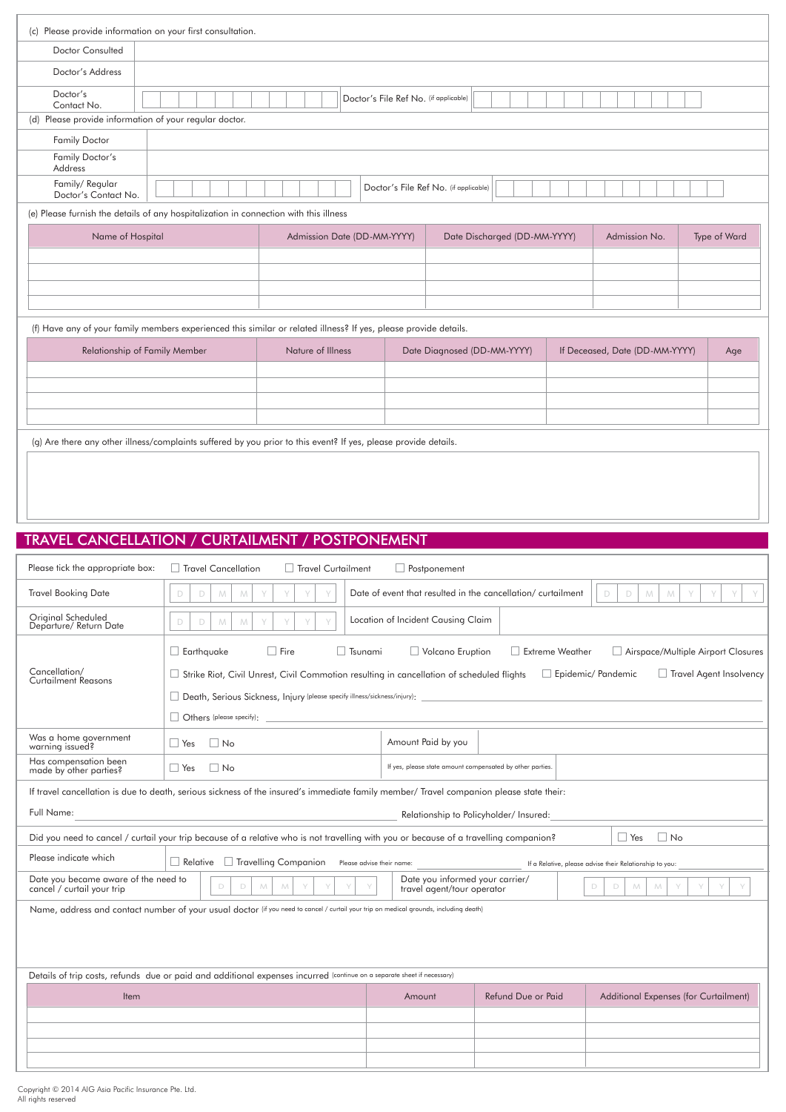|                                        | (c) Please provide information on your first consultation.                            |                                                                                                                  |                                       |                              |               |              |
|----------------------------------------|---------------------------------------------------------------------------------------|------------------------------------------------------------------------------------------------------------------|---------------------------------------|------------------------------|---------------|--------------|
| Doctor Consulted                       |                                                                                       |                                                                                                                  |                                       |                              |               |              |
| Doctor's Address                       |                                                                                       |                                                                                                                  |                                       |                              |               |              |
| Doctor's<br>Contact No.                |                                                                                       |                                                                                                                  | Doctor's File Ref No. (if applicable) |                              |               |              |
| (d)                                    | Please provide information of your regular doctor.                                    |                                                                                                                  |                                       |                              |               |              |
| <b>Family Doctor</b>                   |                                                                                       |                                                                                                                  |                                       |                              |               |              |
| Family Doctor's<br>Address             |                                                                                       |                                                                                                                  |                                       |                              |               |              |
| Family/Regular<br>Doctor's Contact No. |                                                                                       |                                                                                                                  | Doctor's File Ref No. (if applicable) |                              |               |              |
|                                        | (e) Please furnish the details of any hospitalization in connection with this illness |                                                                                                                  |                                       |                              |               |              |
| Name of Hospital                       |                                                                                       | Admission Date (DD-MM-YYYY)                                                                                      |                                       | Date Discharged (DD-MM-YYYY) | Admission No. | Type of Ward |
|                                        |                                                                                       |                                                                                                                  |                                       |                              |               |              |
|                                        |                                                                                       |                                                                                                                  |                                       |                              |               |              |
|                                        |                                                                                       |                                                                                                                  |                                       |                              |               |              |
|                                        |                                                                                       |                                                                                                                  |                                       |                              |               |              |
|                                        |                                                                                       | (f) Have any of your family members experienced this similar or related illness? If yes, please provide details. |                                       |                              |               |              |

| Relationship of Family Member | Nature of Illness | Date Diagnosed (DD-MM-YYYY) | If Deceased, Date (DD-MM-YYYY) | Age |
|-------------------------------|-------------------|-----------------------------|--------------------------------|-----|
|                               |                   |                             |                                |     |
|                               |                   |                             |                                |     |
|                               |                   |                             |                                |     |
|                               |                   |                             |                                |     |

(g) Are there any other illness/complaints suffered by you prior to this event? If yes, please provide details.

# TRAVEL CANCELLATION / CURTAILMENT / POSTPONEMENT

| Please tick the appropriate box:                                   | Travel Curtailment<br>Travel Cancellation                                                                                                                                                                                                                        | $\Box$ Postponement                                           |                                                             |                                                                                            |  |  |  |
|--------------------------------------------------------------------|------------------------------------------------------------------------------------------------------------------------------------------------------------------------------------------------------------------------------------------------------------------|---------------------------------------------------------------|-------------------------------------------------------------|--------------------------------------------------------------------------------------------|--|--|--|
| <b>Travel Booking Date</b>                                         | D<br>D<br>M<br>M                                                                                                                                                                                                                                                 |                                                               | Date of event that resulted in the cancellation/curtailment | D<br>D<br>M<br>M                                                                           |  |  |  |
| Original Scheduled<br>Departure/ Return Date                       | Y<br>D<br>D<br>M<br>M                                                                                                                                                                                                                                            | Location of Incident Causing Claim                            |                                                             |                                                                                            |  |  |  |
| Cancellation/<br><b>Curtailment Reasons</b>                        | $\Box$ Earthquake<br>Fire<br><b>T</b> sunami<br>$\Box$ Strike Riot, Civil Unrest, Civil Commotion resulting in cancellation of scheduled flights<br>Death, Serious Sickness, Injury (please specify illness/sickness/injury):<br>$\Box$ Others (please specify): | Volcano Eruption                                              | Extreme Weather                                             | Airspace/Multiple Airport Closures<br>Travel Agent Insolvency<br>$\Box$ Epidemic/ Pandemic |  |  |  |
| Was a home government<br>warning issued?                           | $\Box$ Yes<br>$\overline{\phantom{a}}$ No                                                                                                                                                                                                                        | Amount Paid by you                                            |                                                             |                                                                                            |  |  |  |
| Has compensation been<br>made by other parties?                    | $\Box$ Yes<br>$\Box$ No                                                                                                                                                                                                                                          | If yes, please state amount compensated by other parties.     |                                                             |                                                                                            |  |  |  |
|                                                                    | If travel cancellation is due to death, serious sickness of the insured's immediate family member/ Travel companion please state their:                                                                                                                          |                                                               |                                                             |                                                                                            |  |  |  |
| Full Name:                                                         |                                                                                                                                                                                                                                                                  |                                                               | Relationship to Policyholder/ Insured:                      |                                                                                            |  |  |  |
|                                                                    | Did you need to cancel / curtail your trip because of a relative who is not travelling with you or because of a travelling companion?                                                                                                                            |                                                               |                                                             | $\Box$ No<br>$\Box$ Yes                                                                    |  |  |  |
| Please indicate which                                              | Travelling Companion<br>$\Box$ Relative<br>Please advise their name:                                                                                                                                                                                             |                                                               |                                                             | If a Relative, please advise their Relationship to you:                                    |  |  |  |
| Date you became aware of the need to<br>cancel / curtail your trip | D<br>M<br>M<br>D                                                                                                                                                                                                                                                 | Date you informed your carrier/<br>travel agent/tour operator |                                                             | D<br>D<br>M<br>M                                                                           |  |  |  |
|                                                                    | Name, address and contact number of your usual doctor (if you need to cancel / curtail your trip on medical grounds, including death)                                                                                                                            |                                                               |                                                             |                                                                                            |  |  |  |
|                                                                    |                                                                                                                                                                                                                                                                  |                                                               |                                                             |                                                                                            |  |  |  |
|                                                                    | Details of trip costs, refunds due or paid and additional expenses incurred (continue on a separate sheet if necessary)                                                                                                                                          |                                                               |                                                             |                                                                                            |  |  |  |
| Item                                                               |                                                                                                                                                                                                                                                                  | Amount                                                        | Refund Due or Paid                                          | Additional Expenses (for Curtailment)                                                      |  |  |  |
|                                                                    |                                                                                                                                                                                                                                                                  |                                                               |                                                             |                                                                                            |  |  |  |
|                                                                    |                                                                                                                                                                                                                                                                  |                                                               |                                                             |                                                                                            |  |  |  |
|                                                                    |                                                                                                                                                                                                                                                                  |                                                               |                                                             |                                                                                            |  |  |  |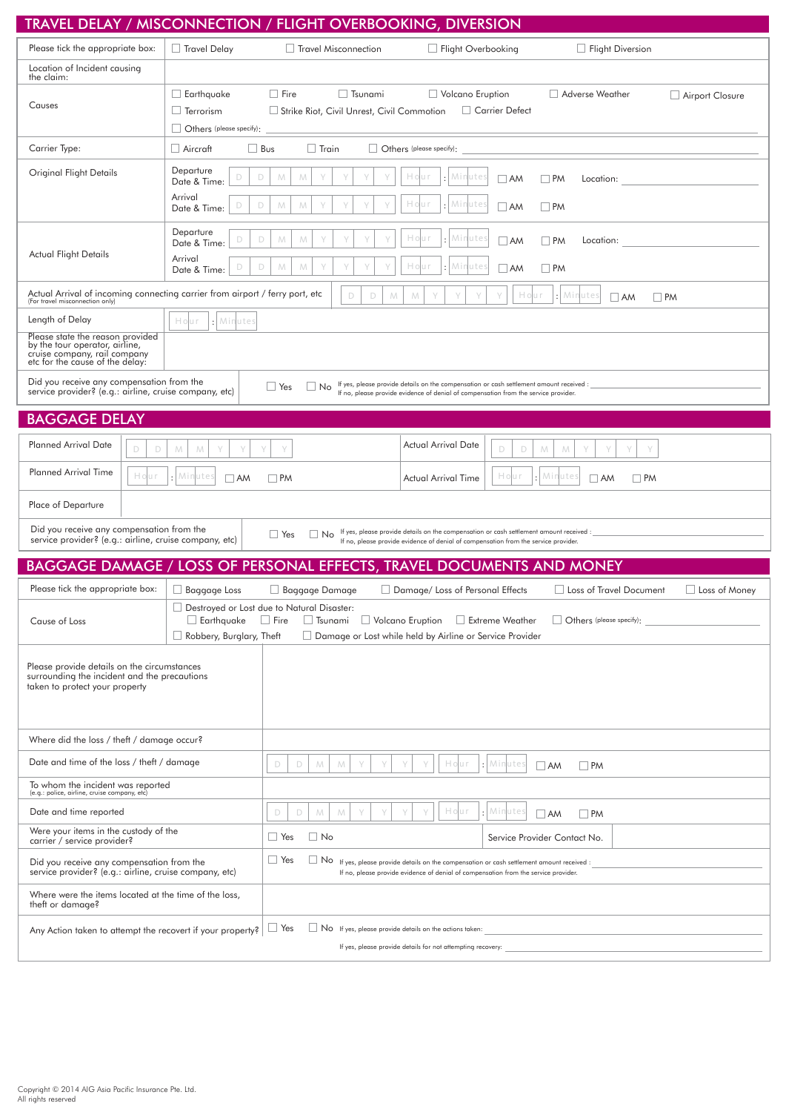| TRAVEL DELAY / MISCONNECTION /                                                                                                                                                                     |                                                                                             |                                                                             | <b>FLIGHT OVERBOOKING, DIVERSION</b>                                                                                                                                                            |                                                   |  |
|----------------------------------------------------------------------------------------------------------------------------------------------------------------------------------------------------|---------------------------------------------------------------------------------------------|-----------------------------------------------------------------------------|-------------------------------------------------------------------------------------------------------------------------------------------------------------------------------------------------|---------------------------------------------------|--|
| Please tick the appropriate box:                                                                                                                                                                   | $\Box$ Travel Delay                                                                         | Travel Misconnection                                                        | $\Box$ Flight Overbooking                                                                                                                                                                       | $\Box$ Flight Diversion                           |  |
| Location of Incident causing<br>the claim:                                                                                                                                                         |                                                                                             |                                                                             |                                                                                                                                                                                                 |                                                   |  |
| Causes                                                                                                                                                                                             | $\Box$ Earthquake<br>$\Box$ Terrorism<br>$\Box$ Others (please specify):                    | $\Box$ Fire<br>$\Box$ Tsunami<br>Strike Riot, Civil Unrest, Civil Commotion | Volcano Eruption<br>$\Box$ Carrier Defect                                                                                                                                                       | Adverse Weather<br>Airport Closure                |  |
| Carrier Type:                                                                                                                                                                                      | $\Box$ Bus<br>$\Box$ Aircraft                                                               | $\Box$ Train                                                                | Others (please specify):                                                                                                                                                                        |                                                   |  |
| Original Flight Details                                                                                                                                                                            | Departure<br>D<br>D<br>Date & Time:<br>Arrival<br>D<br>D<br>Date & Time:                    | M<br>M<br>M<br>M                                                            | Hour<br>Minutes<br>$\Box$ AM<br>Minute<br>Hour<br>$\Box$ AM                                                                                                                                     | <b>PM</b><br>Location:<br>$\Box$ PM               |  |
| Actual Flight Details                                                                                                                                                                              | Departure<br>D<br>D<br>Date & Time:<br>Arrival<br>D<br>D<br>Date & Time:                    | M<br>M<br>M<br>M<br>Υ                                                       | : Minutes<br>Hо<br>$\Box$ AM<br>: Minutes<br>Hо<br>uτ<br>$\Box$ AM                                                                                                                              | $\Box$ PM<br>Location:<br>$\Box$ PM               |  |
| Actual Arrival of incoming connecting carrier from airport / ferry port, etc<br>(For travel misconnection only)                                                                                    |                                                                                             | D<br>D<br>M                                                                 | Hour<br>M                                                                                                                                                                                       | : Minutes<br>$\Box$ AM<br>$\Box$ PM               |  |
| Length of Delay                                                                                                                                                                                    | : Minutes<br>Hour                                                                           |                                                                             |                                                                                                                                                                                                 |                                                   |  |
| Please state the reason provided<br>by the tour operator, airline,<br>cruise company, rail company<br>etc for the cause of the delay:                                                              |                                                                                             |                                                                             |                                                                                                                                                                                                 |                                                   |  |
| Did you receive any compensation from the<br>service provider? (e.g.: airline, cruise company, etc)                                                                                                |                                                                                             | $\Box$ Yes<br>$\Box$ No                                                     | If yes, please provide details on the compensation or cash settlement amount received :<br>If no, please provide evidence of denial of compensation from the service provider.                  |                                                   |  |
| <b>BAGGAGE DELAY</b>                                                                                                                                                                               |                                                                                             |                                                                             |                                                                                                                                                                                                 |                                                   |  |
| <b>Planned Arrival Date</b><br>D<br>D                                                                                                                                                              | M<br>M                                                                                      | Y                                                                           | <b>Actual Arrival Date</b><br>D<br>D                                                                                                                                                            | M<br>M                                            |  |
| <b>Planned Arrival Time</b><br>Hour                                                                                                                                                                | : Minutes<br>$\Box$ AM                                                                      | $\Box$ PM                                                                   | Hour<br><b>Actual Arrival Time</b>                                                                                                                                                              | : Minutes<br>$\Box$ AM<br><b>PM</b>               |  |
| Place of Departure                                                                                                                                                                                 |                                                                                             |                                                                             |                                                                                                                                                                                                 |                                                   |  |
| Did you receive any compensation from the<br>service provider? (e.g.: airline, cruise company, etc)                                                                                                |                                                                                             | $\Box$ Yes<br>$\Box$ No                                                     | If yes, please provide details on the compensation or cash settlement amount received :<br>If no, please provide evidence of denial of compensation from the service provider.                  |                                                   |  |
|                                                                                                                                                                                                    |                                                                                             |                                                                             | <b>BAGGAGE DAMAGE / LOSS OF PERSONAL EFFECTS, TRAVEL DOCUMENTS AND MONEY</b>                                                                                                                    |                                                   |  |
| Please tick the appropriate box:                                                                                                                                                                   | $\Box$ Baggage Loss                                                                         | $\Box$ Baggage Damage                                                       | $\Box$ Damage/ Loss of Personal Effects                                                                                                                                                         | □ Loss of Travel Document<br>$\Box$ Loss of Money |  |
| Cause of Loss                                                                                                                                                                                      | Destroyed or Lost due to Natural Disaster:<br>$\Box$ Earthquake<br>Robbery, Burglary, Theft | $\Box$ Fire<br>$\Box$ Tsunami                                               | $\Box$ Volcano Eruption<br>Extreme Weather<br>Damage or Lost while held by Airline or Service Provider                                                                                          | Others (please specify):                          |  |
| Please provide details on the circumstances<br>surrounding the incident and the precautions<br>taken to protect your property                                                                      |                                                                                             |                                                                             |                                                                                                                                                                                                 |                                                   |  |
| Where did the loss / theft / damage occur?                                                                                                                                                         |                                                                                             |                                                                             |                                                                                                                                                                                                 |                                                   |  |
| Date and time of the loss / theft / damage                                                                                                                                                         |                                                                                             | D<br>M<br>D<br>M                                                            | Hour<br>Minutes                                                                                                                                                                                 | $\Box$ PM<br>$\Box$ AM                            |  |
| To whom the incident was reported<br>(e.g.: police, airline, cruise company, etc)                                                                                                                  |                                                                                             |                                                                             |                                                                                                                                                                                                 |                                                   |  |
| Date and time reported                                                                                                                                                                             |                                                                                             | D<br>D<br>M<br>M                                                            | Hour<br>Minutes                                                                                                                                                                                 | $\Box$ PM<br>$\Box$ AM                            |  |
| Were your items in the custody of the<br>carrier / service provider?                                                                                                                               |                                                                                             | $\Box$ No<br>$\Box$ Yes                                                     |                                                                                                                                                                                                 | Service Provider Contact No.                      |  |
| Did you receive any compensation from the<br>service provider? (e.g.: airline, cruise company, etc)                                                                                                |                                                                                             | $\Box$ Yes                                                                  | $\Box$ No $\Box$ If yes, please provide details on the compensation or cash settlement amount received :<br>If no, please provide evidence of denial of compensation from the service provider. |                                                   |  |
| Where were the items located at the time of the loss,<br>theft or damage?                                                                                                                          |                                                                                             |                                                                             |                                                                                                                                                                                                 |                                                   |  |
| $\Box$ Yes<br>No If yes, please provide details on the actions taken:<br>Any Action taken to attempt the recovert if your property?<br>If yes, please provide details for not attempting recovery: |                                                                                             |                                                                             |                                                                                                                                                                                                 |                                                   |  |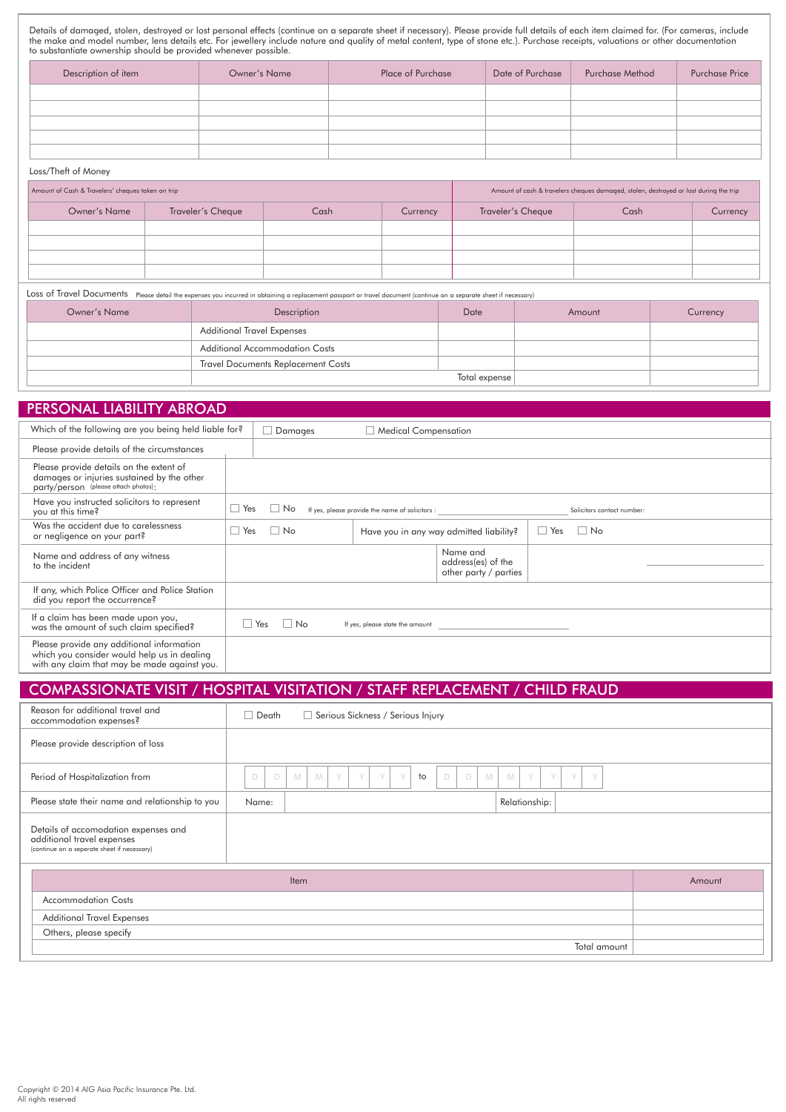Details of damaged, stolen, destroyed or lost personal effects (continue on a separate sheet if necessary). Please provide full details of each item claimed for. (For cameras, include<br>the make and model number, lens detail to substantiate ownership should be provided whenever possible.

| Description of item | Owner's Name | <b>Place of Purchase</b> | Date of Purchase | <b>Purchase Method</b> | Purchase Price |
|---------------------|--------------|--------------------------|------------------|------------------------|----------------|
|                     |              |                          |                  |                        |                |
|                     |              |                          |                  |                        |                |
|                     |              |                          |                  |                        |                |
|                     |              |                          |                  |                        |                |
|                     |              |                          |                  |                        |                |

#### Loss/Theft of Money

| Amount of Cash & Travelers' cheques taken on trip |                   |      | Amount of cash & travelers cheques damaged, stolen, destroyed or lost during the trip |                   |      |          |
|---------------------------------------------------|-------------------|------|---------------------------------------------------------------------------------------|-------------------|------|----------|
| Owner's Name                                      | Traveler's Cheque | Cash | Currency                                                                              | Traveler's Cheque | Cash | Currency |
|                                                   |                   |      |                                                                                       |                   |      |          |
|                                                   |                   |      |                                                                                       |                   |      |          |
|                                                   |                   |      |                                                                                       |                   |      |          |
|                                                   |                   |      |                                                                                       |                   |      |          |

Loss of Travel Documents Please detail the expenses you incurred in obtaining a replacement passport or travel document (continue on a separate sheet if necessary)

| Owner's Name | Description                               | Amount | Currency |  |  |  |
|--------------|-------------------------------------------|--------|----------|--|--|--|
|              | <b>Additional Travel Expenses</b>         |        |          |  |  |  |
|              | <b>Additional Accommodation Costs</b>     |        |          |  |  |  |
|              | <b>Travel Documents Replacement Costs</b> |        |          |  |  |  |
|              | Total expense                             |        |          |  |  |  |

### PERSONAL LIABILITY ABROAD

| Which of the following are you being held liable for?                                                                                    |     | Damages                                                                       |    | <b>Medical Compensation</b>                     |                                                         |  |                            |
|------------------------------------------------------------------------------------------------------------------------------------------|-----|-------------------------------------------------------------------------------|----|-------------------------------------------------|---------------------------------------------------------|--|----------------------------|
| Please provide details of the circumstances                                                                                              |     |                                                                               |    |                                                 |                                                         |  |                            |
| Please provide details on the extent of<br>damages or injuries sustained by the other<br>party/person (please attach photos):            |     |                                                                               |    |                                                 |                                                         |  |                            |
| Have you instructed solicitors to represent<br>you at this time?                                                                         | Yes | $\Box$ No                                                                     |    | If yes, please provide the name of solicitors : |                                                         |  | Solicitors contact number: |
| Was the accident due to carelessness<br>or negligence on your part?                                                                      |     | Yes<br>$\overline{\phantom{a}}$ No<br>Have you in any way admitted liability? |    | $\Box$ Yes                                      | $\Box$ No                                               |  |                            |
| Name and address of any witness<br>to the incident                                                                                       |     |                                                                               |    |                                                 | Name and<br>address(es) of the<br>other party / parties |  |                            |
| If any, which Police Officer and Police Station<br>did you report the occurrence?                                                        |     |                                                                               |    |                                                 |                                                         |  |                            |
| If a claim has been made upon you,<br>was the amount of such claim specified?                                                            |     | Yes                                                                           | No |                                                 | If yes, please state the amount                         |  |                            |
| Please provide any additional information<br>which you consider would help us in dealing<br>with any claim that may be made against you. |     |                                                                               |    |                                                 |                                                         |  |                            |

# COMPASSIONATE VISIT / HOSPITAL VISITATION / STAFF REPLACEMENT / CHILD FRAUD

| Reason for additional travel and<br>accommodation expenses?                                                       | Death<br>Serious Sickness / Serious Injury                                                               |              |
|-------------------------------------------------------------------------------------------------------------------|----------------------------------------------------------------------------------------------------------|--------------|
| Please provide description of loss                                                                                |                                                                                                          |              |
| Period of Hospitalization from                                                                                    | $10$<br>$\Box$<br>D<br>D<br>Y<br>D<br>M<br>V<br>$\vee$<br>M<br>M<br>V<br>M<br>$\vee$<br>$\vee$<br>$\vee$ | Y            |
| Please state their name and relationship to you                                                                   | Relationship:<br>Name:                                                                                   |              |
| Details of accomodation expenses and<br>additional travel expenses<br>(continue on a seperate sheet if necessary) |                                                                                                          |              |
|                                                                                                                   | <b>Item</b>                                                                                              | Amount       |
| <b>Accommodation Costs</b>                                                                                        |                                                                                                          |              |
| <b>Additional Travel Expenses</b>                                                                                 |                                                                                                          |              |
| Others, please specify                                                                                            |                                                                                                          |              |
|                                                                                                                   |                                                                                                          | Total amount |